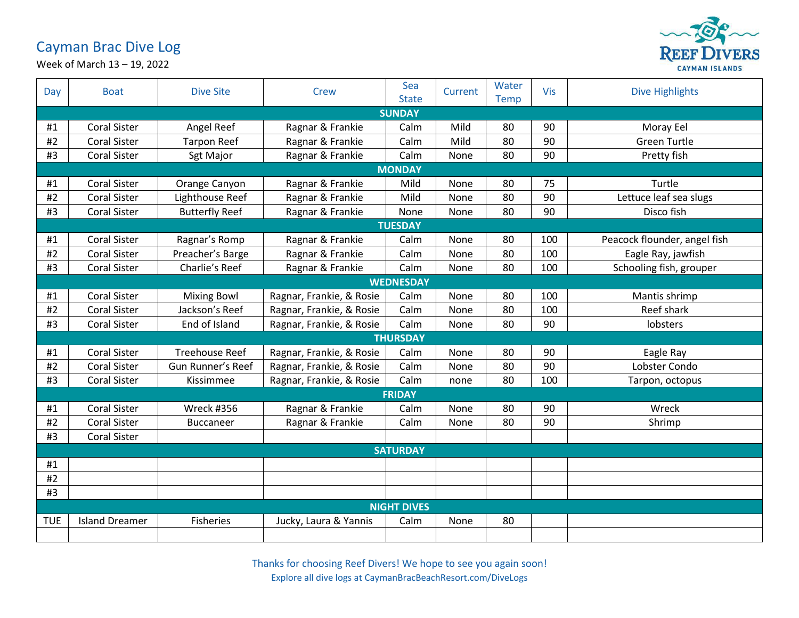## Cayman Brac Dive Log



Week of March 13 – 19, 2022

| Day             | <b>Boat</b>           | <b>Dive Site</b>      | Crew                     | Sea<br><b>State</b> | Current | Water<br><b>Temp</b> | <b>Vis</b> | <b>Dive Highlights</b>       |  |  |
|-----------------|-----------------------|-----------------------|--------------------------|---------------------|---------|----------------------|------------|------------------------------|--|--|
|                 | <b>SUNDAY</b>         |                       |                          |                     |         |                      |            |                              |  |  |
| #1              | <b>Coral Sister</b>   | Angel Reef            | Ragnar & Frankie         | Calm                | Mild    | 80                   | 90         | Moray Eel                    |  |  |
| #2              | <b>Coral Sister</b>   | <b>Tarpon Reef</b>    | Ragnar & Frankie         | Calm                | Mild    | 80                   | 90         | <b>Green Turtle</b>          |  |  |
| #3              | <b>Coral Sister</b>   | Sgt Major             | Ragnar & Frankie         | Calm                | None    | 80                   | 90         | Pretty fish                  |  |  |
|                 | <b>MONDAY</b>         |                       |                          |                     |         |                      |            |                              |  |  |
| #1              | <b>Coral Sister</b>   | Orange Canyon         | Ragnar & Frankie         | Mild                | None    | 80                   | 75         | Turtle                       |  |  |
| #2              | <b>Coral Sister</b>   | Lighthouse Reef       | Ragnar & Frankie         | Mild                | None    | 80                   | 90         | Lettuce leaf sea slugs       |  |  |
| #3              | <b>Coral Sister</b>   | <b>Butterfly Reef</b> | Ragnar & Frankie         | None                | None    | 80                   | 90         | Disco fish                   |  |  |
|                 | <b>TUESDAY</b>        |                       |                          |                     |         |                      |            |                              |  |  |
| #1              | <b>Coral Sister</b>   | Ragnar's Romp         | Ragnar & Frankie         | Calm                | None    | 80                   | 100        | Peacock flounder, angel fish |  |  |
| #2              | <b>Coral Sister</b>   | Preacher's Barge      | Ragnar & Frankie         | Calm                | None    | 80                   | 100        | Eagle Ray, jawfish           |  |  |
| #3              | <b>Coral Sister</b>   | Charlie's Reef        | Ragnar & Frankie         | Calm                | None    | 80                   | 100        | Schooling fish, grouper      |  |  |
|                 |                       |                       |                          | <b>WEDNESDAY</b>    |         |                      |            |                              |  |  |
| #1              | <b>Coral Sister</b>   | <b>Mixing Bowl</b>    | Ragnar, Frankie, & Rosie | Calm                | None    | 80                   | 100        | Mantis shrimp                |  |  |
| #2              | <b>Coral Sister</b>   | Jackson's Reef        | Ragnar, Frankie, & Rosie | Calm                | None    | 80                   | 100        | Reef shark                   |  |  |
| #3              | <b>Coral Sister</b>   | End of Island         | Ragnar, Frankie, & Rosie | Calm                | None    | 80                   | 90         | lobsters                     |  |  |
|                 |                       |                       |                          | <b>THURSDAY</b>     |         |                      |            |                              |  |  |
| #1              | <b>Coral Sister</b>   | <b>Treehouse Reef</b> | Ragnar, Frankie, & Rosie | Calm                | None    | 80                   | 90         | Eagle Ray                    |  |  |
| #2              | <b>Coral Sister</b>   | Gun Runner's Reef     | Ragnar, Frankie, & Rosie | Calm                | None    | 80                   | 90         | Lobster Condo                |  |  |
| #3              | <b>Coral Sister</b>   | Kissimmee             | Ragnar, Frankie, & Rosie | Calm                | none    | 80                   | 100        | Tarpon, octopus              |  |  |
|                 |                       |                       |                          | <b>FRIDAY</b>       |         |                      |            |                              |  |  |
| #1              | <b>Coral Sister</b>   | Wreck #356            | Ragnar & Frankie         | Calm                | None    | 80                   | 90         | Wreck                        |  |  |
| #2              | <b>Coral Sister</b>   | <b>Buccaneer</b>      | Ragnar & Frankie         | Calm                | None    | 80                   | 90         | Shrimp                       |  |  |
| #3              | <b>Coral Sister</b>   |                       |                          |                     |         |                      |            |                              |  |  |
| <b>SATURDAY</b> |                       |                       |                          |                     |         |                      |            |                              |  |  |
| #1              |                       |                       |                          |                     |         |                      |            |                              |  |  |
| #2              |                       |                       |                          |                     |         |                      |            |                              |  |  |
| #3              |                       |                       |                          |                     |         |                      |            |                              |  |  |
|                 | <b>NIGHT DIVES</b>    |                       |                          |                     |         |                      |            |                              |  |  |
| <b>TUE</b>      | <b>Island Dreamer</b> | <b>Fisheries</b>      | Jucky, Laura & Yannis    | Calm                | None    | 80                   |            |                              |  |  |
|                 |                       |                       |                          |                     |         |                      |            |                              |  |  |

Thanks for choosing Reef Divers! We hope to see you again soon! Explore all dive logs at CaymanBracBeachResort.com/DiveLogs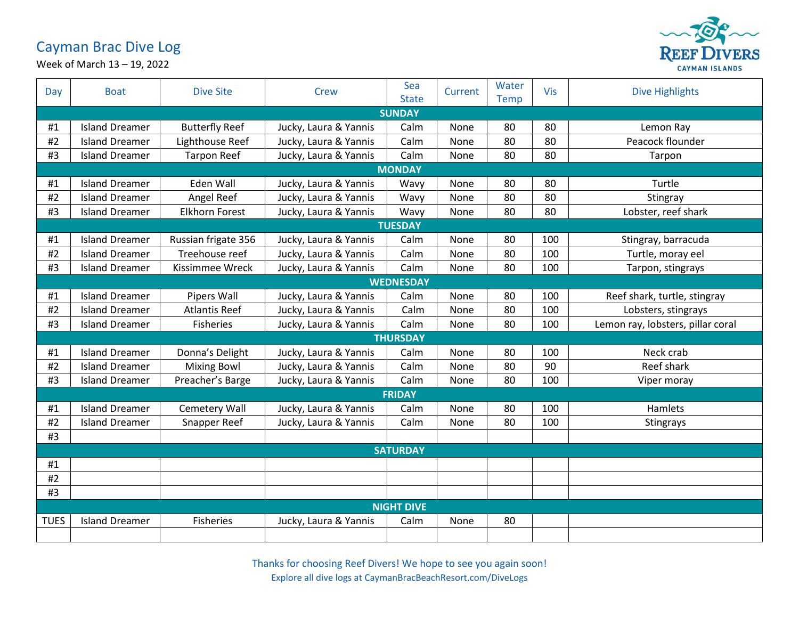## Cayman Brac Dive Log



Week of March 13 – 19, 2022

| Day             | <b>Boat</b>           | <b>Dive Site</b>      | Crew                  | Sea<br><b>State</b> | Current | Water<br><b>Temp</b> | Vis | <b>Dive Highlights</b>            |  |  |
|-----------------|-----------------------|-----------------------|-----------------------|---------------------|---------|----------------------|-----|-----------------------------------|--|--|
|                 | <b>SUNDAY</b>         |                       |                       |                     |         |                      |     |                                   |  |  |
| #1              | <b>Island Dreamer</b> | <b>Butterfly Reef</b> | Jucky, Laura & Yannis | Calm                | None    | 80                   | 80  | Lemon Ray                         |  |  |
| #2              | <b>Island Dreamer</b> | Lighthouse Reef       | Jucky, Laura & Yannis | Calm                | None    | 80                   | 80  | Peacock flounder                  |  |  |
| #3              | <b>Island Dreamer</b> | <b>Tarpon Reef</b>    | Jucky, Laura & Yannis | Calm                | None    | 80                   | 80  | Tarpon                            |  |  |
|                 | <b>MONDAY</b>         |                       |                       |                     |         |                      |     |                                   |  |  |
| #1              | <b>Island Dreamer</b> | Eden Wall             | Jucky, Laura & Yannis | Wavy                | None    | 80                   | 80  | Turtle                            |  |  |
| #2              | <b>Island Dreamer</b> | Angel Reef            | Jucky, Laura & Yannis | Wavy                | None    | 80                   | 80  | Stingray                          |  |  |
| #3              | <b>Island Dreamer</b> | Elkhorn Forest        | Jucky, Laura & Yannis | Wavy                | None    | 80                   | 80  | Lobster, reef shark               |  |  |
|                 | <b>TUESDAY</b>        |                       |                       |                     |         |                      |     |                                   |  |  |
| #1              | <b>Island Dreamer</b> | Russian frigate 356   | Jucky, Laura & Yannis | Calm                | None    | 80                   | 100 | Stingray, barracuda               |  |  |
| $\#2$           | <b>Island Dreamer</b> | Treehouse reef        | Jucky, Laura & Yannis | Calm                | None    | 80                   | 100 | Turtle, moray eel                 |  |  |
| #3              | <b>Island Dreamer</b> | Kissimmee Wreck       | Jucky, Laura & Yannis | Calm                | None    | 80                   | 100 | Tarpon, stingrays                 |  |  |
|                 |                       |                       |                       | <b>WEDNESDAY</b>    |         |                      |     |                                   |  |  |
| #1              | <b>Island Dreamer</b> | Pipers Wall           | Jucky, Laura & Yannis | Calm                | None    | 80                   | 100 | Reef shark, turtle, stingray      |  |  |
| #2              | <b>Island Dreamer</b> | <b>Atlantis Reef</b>  | Jucky, Laura & Yannis | Calm                | None    | 80                   | 100 | Lobsters, stingrays               |  |  |
| #3              | <b>Island Dreamer</b> | <b>Fisheries</b>      | Jucky, Laura & Yannis | Calm                | None    | 80                   | 100 | Lemon ray, lobsters, pillar coral |  |  |
|                 |                       |                       |                       | <b>THURSDAY</b>     |         |                      |     |                                   |  |  |
| #1              | <b>Island Dreamer</b> | Donna's Delight       | Jucky, Laura & Yannis | Calm                | None    | 80                   | 100 | Neck crab                         |  |  |
| #2              | <b>Island Dreamer</b> | <b>Mixing Bowl</b>    | Jucky, Laura & Yannis | Calm                | None    | 80                   | 90  | Reef shark                        |  |  |
| #3              | <b>Island Dreamer</b> | Preacher's Barge      | Jucky, Laura & Yannis | Calm                | None    | 80                   | 100 | Viper moray                       |  |  |
|                 | <b>FRIDAY</b>         |                       |                       |                     |         |                      |     |                                   |  |  |
| #1              | <b>Island Dreamer</b> | <b>Cemetery Wall</b>  | Jucky, Laura & Yannis | Calm                | None    | 80                   | 100 | Hamlets                           |  |  |
| #2              | <b>Island Dreamer</b> | Snapper Reef          | Jucky, Laura & Yannis | Calm                | None    | 80                   | 100 | Stingrays                         |  |  |
| #3              |                       |                       |                       |                     |         |                      |     |                                   |  |  |
| <b>SATURDAY</b> |                       |                       |                       |                     |         |                      |     |                                   |  |  |
| #1              |                       |                       |                       |                     |         |                      |     |                                   |  |  |
| #2              |                       |                       |                       |                     |         |                      |     |                                   |  |  |
| #3              |                       |                       |                       |                     |         |                      |     |                                   |  |  |
|                 | <b>NIGHT DIVE</b>     |                       |                       |                     |         |                      |     |                                   |  |  |
| <b>TUES</b>     | <b>Island Dreamer</b> | <b>Fisheries</b>      | Jucky, Laura & Yannis | Calm                | None    | 80                   |     |                                   |  |  |
|                 |                       |                       |                       |                     |         |                      |     |                                   |  |  |

Thanks for choosing Reef Divers! We hope to see you again soon! Explore all dive logs at CaymanBracBeachResort.com/DiveLogs